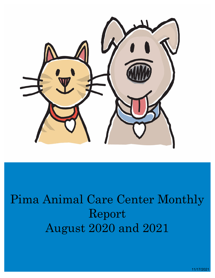

# Pima Animal Care Center Monthly Report August 2020 and 2021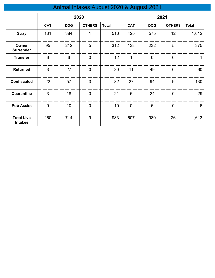# Animal Intakes August 2020 & August 2021

|                                     | 2020           |            |               | 2021         |                |                 |               |              |
|-------------------------------------|----------------|------------|---------------|--------------|----------------|-----------------|---------------|--------------|
|                                     | <b>CAT</b>     | <b>DOG</b> | <b>OTHERS</b> | <b>Total</b> | <b>CAT</b>     | <b>DOG</b>      | <b>OTHERS</b> | <b>Total</b> |
| <b>Stray</b>                        | 131            | 384        | 1             | 516          | 425            | 575             | 12            | 1,012        |
| Owner<br><b>Surrender</b>           | 95             | 212        | 5             | 312          | 138            | 232             | 5             | 375          |
| <b>Transfer</b>                     | $6\phantom{1}$ | 6          | $\mathbf 0$   | 12           | 1              | $\overline{0}$  | $\mathbf 0$   |              |
| <b>Returned</b>                     | 3              | 27         | $\mathbf 0$   | 30           | 11             | 49              | $\mathbf 0$   | 60           |
| <b>Confiscated</b>                  | 22             | 57         | 3             | 82           | 27             | 94              | 9             | 130          |
| Quarantine                          | 3              | 18         | $\mathbf 0$   | 21           | 5              | 24              | $\mathbf 0$   | 29           |
| <b>Pub Assist</b>                   | $\mathbf 0$    | 10         | $\pmb{0}$     | 10           | $\overline{0}$ | $6\phantom{1}6$ | $\mathbf 0$   | $6\,$        |
| <b>Total Live</b><br><b>Intakes</b> | 260            | 714        | 9             | 983          | 607            | 980             | 26            | 1,613        |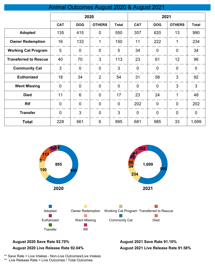## Animal Outcomes August 2020 & August 2021

|                              | 2020           |                |                | 2021           |                |                |                |                |
|------------------------------|----------------|----------------|----------------|----------------|----------------|----------------|----------------|----------------|
|                              | <b>CAT</b>     | <b>DOG</b>     | <b>OTHERS</b>  | <b>Total</b>   | <b>CAT</b>     | <b>DOG</b>     | <b>OTHERS</b>  | <b>Total</b>   |
| <b>Adopted</b>               | 135            | 415            | $\overline{0}$ | 550            | 357            | 620            | 13             | 990            |
| <b>Owner Redemption</b>      | 16             | 133            | 1              | 150            | 11             | 222            | 1              | 234            |
| <b>Working Cat Program</b>   | 5              | $\overline{0}$ | $\overline{0}$ | 5              | 34             | $\overline{0}$ | $\overline{0}$ | 34             |
| <b>Transferred to Rescue</b> | 40             | 70             | 3              | 113            | 23             | 61             | 12             | 96             |
| <b>Community Cat</b>         | 3              | $\overline{0}$ | $\overline{0}$ | 3              | $\overline{0}$ | $\overline{0}$ | $\overline{0}$ | $\overline{0}$ |
| <b>Euthanized</b>            | 18             | 34             | $\overline{2}$ | 54             | 31             | 58             | 3              | 92             |
| <b>Went Missing</b>          | $\mathbf 0$    | $\mathbf 0$    | $\mathbf 0$    | $\mathbf 0$    | $\mathbf 0$    | $\overline{0}$ | 3              | 3              |
| <b>Died</b>                  | 11             | 6              | $\overline{0}$ | 17             | 23             | 24             | 1              | 48             |
| <b>Rtf</b>                   | $\overline{0}$ | $\overline{0}$ | $\overline{0}$ | $\overline{0}$ | 202            | $\overline{0}$ | $\overline{0}$ | 202            |
| <b>Transfer</b>              | $\mathbf 0$    | 3              | $\overline{0}$ | 3              | $\mathbf 0$    | $\overline{0}$ | $\mathbf 0$    | $\mathbf 0$    |
| <b>Total</b>                 | 228            | 661            | 6              | 895            | 681            | 985            | 33             | 1,699          |



#### **August 2020 Save Rate 92.70% August 2021 Save Rate 91.10% August 2020 Live Release Rate 92.04%**

**August 2021 Live Release Rate 91.58%**

\*\* Save Rate = Live Intakes - Non-Live Outcomes/Live Intakes

\*\* Live Release Rate = Live Outcomes / Total Outcomes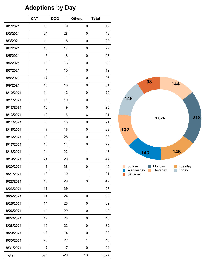## **Adoptions by Day**

|              | <b>CAT</b>     | <b>DOG</b> | <b>Others</b> | <b>Total</b> |
|--------------|----------------|------------|---------------|--------------|
| 8/1/2021     | 10             | 9          | 0             | 19           |
| 8/2/2021     | 21             | 28         | 0             | 49           |
| 8/3/2021     | 11             | 18         | 0             | 29           |
| 8/4/2021     | 10             | 17         | 0             | 27           |
| 8/5/2021     | 5              | 18         | 0             | 23           |
| 8/6/2021     | 19             | 13         | 0             | 32           |
| 8/7/2021     | 4              | 15         | 0             | 19           |
| 8/8/2021     | 17             | 11         | 0             | 28           |
| 8/9/2021     | 13             | 18         | 0             | 31           |
| 8/10/2021    | 14             | 12         | 0             | 26           |
| 8/11/2021    | 11             | 19         | 0             | 30           |
| 8/12/2021    | 16             | 9          | 0             | 25           |
| 8/13/2021    | 10             | 15         | 6             | 31           |
| 8/14/2021    | 3              | 18         | 0             | 21           |
| 8/15/2021    | $\overline{7}$ | 16         | 0             | 23           |
| 8/16/2021    | 10             | 28         | 0             | 38           |
| 8/17/2021    | 15             | 14         | 0             | 29           |
| 8/18/2021    | 24             | 22         | 1             | 47           |
| 8/19/2021    | 24             | 20         | 0             | 44           |
| 8/20/2021    | 7              | 38         | 0             | 45           |
| 8/21/2021    | 10             | 10         | $\mathbf{1}$  | 21           |
| 8/22/2021    | 10             | 29         | 3             | 42           |
| 8/23/2021    | 17             | 39         | $\mathbf{1}$  | 57           |
| 8/24/2021    | 14             | 24         | 0             | 38           |
| 8/25/2021    | 11             | 28         | 0             | 39           |
| 8/26/2021    | 11             | 29         | 0             | 40           |
| 8/27/2021    | 12             | 28         | 0             | 40           |
| 8/28/2021    | 10             | 22         | 0             | 32           |
| 8/29/2021    | 18             | 14         | 0             | 32           |
| 8/30/2021    | 20             | 22         | 1             | 43           |
| 8/31/2021    | 7              | 17         | 0             | 24           |
| <b>Total</b> | 391            | 620        | 13            | 1,024        |

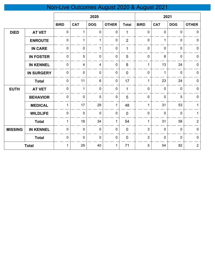# Non-Live Outcomes August 2020 & August 2021

|                |                   | 2020         |                |                |                | 2021           |              |             |             |                |
|----------------|-------------------|--------------|----------------|----------------|----------------|----------------|--------------|-------------|-------------|----------------|
|                |                   | <b>BIRD</b>  | <b>CAT</b>     | <b>DOG</b>     | <b>OTHER</b>   | <b>Total</b>   | <b>BIRD</b>  | <b>CAT</b>  | <b>DOG</b>  | <b>OTHER</b>   |
| <b>DIED</b>    | <b>AT VET</b>     | $\mathbf 0$  | $\mathbf 1$    | $\mathbf 0$    | $\mathbf{0}$   | 1              | $\mathbf 0$  | 0           | 0           | $\mathbf 0$    |
|                | <b>ENROUTE</b>    | 0            | $\mathbf{1}$   | $\mathbf 1$    | $\mathbf 0$    | $\overline{2}$ | $\mathbf 0$  | 1           | $\mathbf 0$ | $\pmb{0}$      |
|                | <b>IN CARE</b>    | $\mathbf 0$  | $\mathbf 0$    | 1              | $\overline{0}$ | 1              | $\mathbf 0$  | 0           | $\mathbf 0$ | $\mathbf 0$    |
|                | <b>IN FOSTER</b>  | $\mathbf 0$  | 5              | $\mathbf 0$    | $\mathbf 0$    | 5              | $\mathbf 0$  | 8           | $\mathbf 0$ | $\mathbf 0$    |
|                | <b>IN KENNEL</b>  | $\mathbf 0$  | $\overline{4}$ | $\overline{4}$ | $\mathbf 0$    | 8              | $\mathbf 1$  | 13          | 24          | $\mathbf 0$    |
|                | <b>IN SURGERY</b> | $\mathbf 0$  | $\mathbf 0$    | $\mathbf 0$    | 0              | $\overline{0}$ | $\mathbf 0$  | 1           | $\mathbf 0$ | $\mathbf 0$    |
|                | <b>Total</b>      | 0            | 11             | 6              | 0              | 17             | $\mathbf{1}$ | 23          | 24          | $\pmb{0}$      |
| <b>EUTH</b>    | <b>AT VET</b>     | $\mathbf 0$  | $\mathbf{1}$   | $\mathbf 0$    | $\mathbf 0$    | 1              | $\mathbf 0$  | 0           | $\mathbf 0$ | $\pmb{0}$      |
|                | <b>BEHAVIOR</b>   | $\mathbf 0$  | $\mathbf 0$    | 5              | $\pmb{0}$      | 5              | $\mathbf 0$  | 0           | 5           | $\mathbf 0$    |
|                | <b>MEDICAL</b>    | $\mathbf{1}$ | 17             | 29             | 1              | 48             | $\mathbf 1$  | 31          | 53          | 1              |
|                | <b>WILDLIFE</b>   | $\mathbf 0$  | $\mathbf 0$    | $\mathbf 0$    | $\mathbf 0$    | $\mathbf 0$    | $\mathbf 0$  | $\mathbf 0$ | $\mathbf 0$ | 1              |
|                | <b>Total</b>      | $\mathbf{1}$ | 18             | 34             | 1              | 54             | $\mathbf{1}$ | 31          | 58          | $\overline{2}$ |
| <b>MISSING</b> | <b>IN KENNEL</b>  | $\mathbf 0$  | $\mathbf 0$    | $\pmb{0}$      | 0              | $\mathbf 0$    | 3            | 0           | $\mathbf 0$ | $\pmb{0}$      |
|                | <b>Total</b>      | $\pmb{0}$    | $\pmb{0}$      | $\mathbf 0$    | $\pmb{0}$      | $\mathbf 0$    | $\mathbf{3}$ | 0           | $\pmb{0}$   | $\mathbf 0$    |
|                | <b>Total</b>      | $\mathbf{1}$ | 29             | 40             | 1              | 71             | 5            | 54          | 82          | $\overline{2}$ |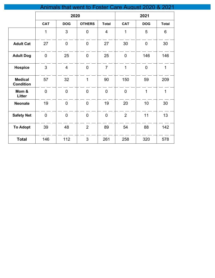|                                    |                |                | Animals that went to Foster Care August 2020 & 2021 |                |                |                 |                 |
|------------------------------------|----------------|----------------|-----------------------------------------------------|----------------|----------------|-----------------|-----------------|
|                                    |                | 2020           |                                                     |                |                | 2021            |                 |
|                                    | <b>CAT</b>     | <b>DOG</b>     | <b>OTHERS</b>                                       | <b>Total</b>   | <b>CAT</b>     | <b>DOG</b>      | <b>Total</b>    |
|                                    | $\mathbf{1}$   | 3              | $\mathbf 0$                                         | $\overline{4}$ | $\mathbf{1}$   | 5               | $6\phantom{1}6$ |
| <b>Adult Cat</b>                   | 27             | $\mathbf 0$    | $\mathbf 0$                                         | 27             | 30             | $\pmb{0}$       | 30              |
| <b>Adult Dog</b>                   | $\mathbf 0$    | 25             | $\overline{0}$                                      | 25             | $\overline{0}$ | 146             | 146             |
| <b>Hospice</b>                     | 3              | $\overline{4}$ | $\mathbf 0$                                         | $\overline{7}$ | $\mathbf{1}$   | $\mathbf 0$     | $\mathbf{1}$    |
| <b>Medical</b><br><b>Condition</b> | 57             | 32             | $\mathbf{1}$                                        | 90             | 150            | 59              | 209             |
| Mom &<br>Litter                    | $\overline{0}$ | $\pmb{0}$      | $\mathbf 0$                                         | $\mathbf 0$    | $\mathbf 0$    | $\mathbf{1}$    | $\mathbf{1}$    |
| <b>Neonate</b>                     | 19             | $\pmb{0}$      | $\mathbf 0$                                         | 19             | 20             | 10 <sup>°</sup> | 30              |
| <b>Safety Net</b>                  | $\pmb{0}$      | $\mathbf 0$    | $\mathbf 0$                                         | $\mathbf 0$    | $\overline{2}$ | 11              | 13              |
| <b>To Adopt</b>                    | 39             | 48             | $\overline{2}$                                      | 89             | 54             | 88              | 142             |
| <b>Total</b>                       | 146            | 112            | $\mathbf{3}$                                        | 261            | 258            | 320             | 578             |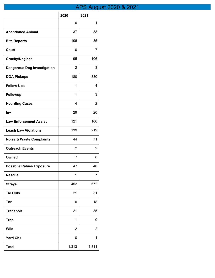## **APS August 2020 & 2021**

|                                     | 2020           | 2021           |
|-------------------------------------|----------------|----------------|
|                                     | 0              | 1              |
| <b>Abandoned Animal</b>             | 37             | 38             |
| <b>Bite Reports</b>                 | 106            | 85             |
| Court                               | 0              | 7              |
| <b>Cruelty/Neglect</b>              | 95             | 106            |
| <b>Dangerous Dog Investigation</b>  | 2              | 3              |
| <b>DOA Pickups</b>                  | 180            | 330            |
| <b>Follow Ups</b>                   | 1              | 4              |
| Followup                            | 1              | 3              |
| <b>Hoarding Cases</b>               | 4              | 2              |
| Inv                                 | 29             | 20             |
| <b>Law Enforcement Assist</b>       | 121            | 106            |
| <b>Leash Law Violations</b>         | 139            | 219            |
| <b>Noise &amp; Waste Complaints</b> | 44             | 71             |
| <b>Outreach Events</b>              | 2              | 2              |
| Owned                               | 7              | 8              |
| <b>Possbile Rabies Exposure</b>     | 47             | 40             |
| <b>Rescue</b>                       | 1              | 7              |
| <b>Strays</b>                       | 452            | 672            |
| <b>Tie Outs</b>                     | 21             | 31             |
| <b>Tnr</b>                          | 0              | 18             |
| <b>Transport</b>                    | 21             | 35             |
| <b>Trap</b>                         | 1              | 0              |
| <b>Wild</b>                         | $\overline{2}$ | $\overline{2}$ |
| <b>Yard Chk</b>                     | 0              | 1              |
| <b>Total</b>                        | 1,313          | 1,811          |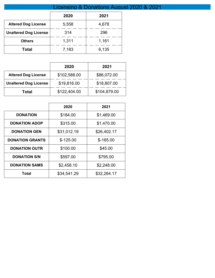|                              | Licensing & Donations August 2020 & 2021 |       |  |  |  |
|------------------------------|------------------------------------------|-------|--|--|--|
|                              | 2020                                     | 2021  |  |  |  |
| <b>Altered Dog License</b>   | 5,558                                    | 4,678 |  |  |  |
| <b>Unaltered Dog License</b> | 314                                      | 296   |  |  |  |
| <b>Others</b>                | 1,311                                    | 1,161 |  |  |  |
| <b>Total</b>                 | 7,183                                    | 6,135 |  |  |  |

|                              | 2020         | 2021         |
|------------------------------|--------------|--------------|
| <b>Altered Dog License</b>   | \$102,588.00 | \$86,072.00  |
| <b>Unaltered Dog License</b> | \$19,816.00  | \$18,807.00  |
| Total                        | \$122,404.00 | \$104,879.00 |

|                        | 2020        | 2021        |
|------------------------|-------------|-------------|
| <b>DONATION</b>        | \$184.00    | \$1,469.00  |
| <b>DONATION ADOP</b>   | \$315.00    | \$1,470.00  |
| <b>DONATION GEN</b>    | \$31,012.19 | \$26,402.17 |
| <b>DONATION GRANTS</b> | $$-125.00$  | $$-165.00$  |
| <b>DONATION OUTR</b>   | \$100.00    | \$45.00     |
| <b>DONATION S/N</b>    | \$597.00    | \$795.00    |
| <b>DONATION SAMS</b>   | \$2,458.10  | \$2,248.00  |
| Total                  | \$34,541.29 | \$32,264.17 |